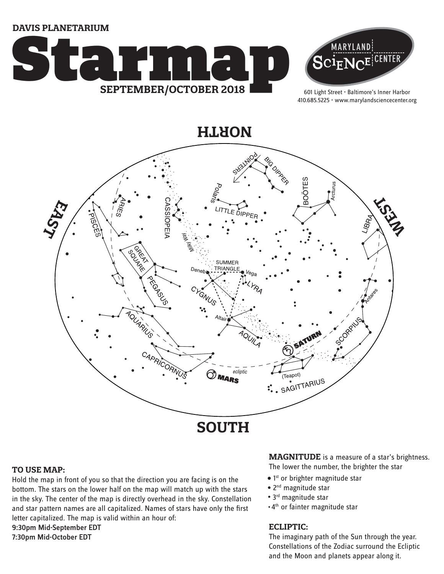**DAVIS PLANETARIUM**





601 Light Street • Baltimore's Inner Harbor 410.685.5225 • www.marylandsciencecenter.org

**NORTH**



# **TO USE MAP:**

Hold the map in front of you so that the direction you are facing is on the bottom. The stars on the lower half on the map will match up with the stars in the sky. The center of the map is directly overhead in the sky. Constellation and star pattern names are all capitalized. Names of stars have only the first letter capitalized. The map is valid within an hour of: 9:30pm Mid-September EDT

7:30pm Mid-October EDT

**MAGNITUDE** is a measure of a star's brightness.

The lower the number, the brighter the star

- $\bullet$  1st or brighter magnitude star
- 2<sup>nd</sup> magnitude star
- 3<sup>rd</sup> magnitude star
- 4th or fainter magnitude star

# **ECLIPTIC:**

The imaginary path of the Sun through the year. Constellations of the Zodiac surround the Ecliptic and the Moon and planets appear along it.